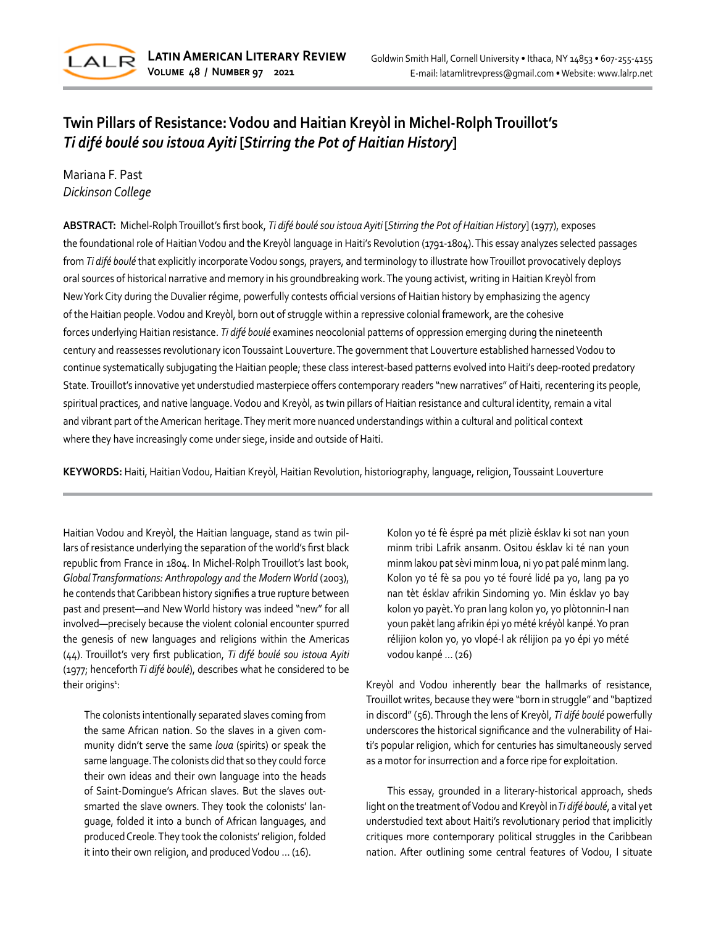

# **Twin Pillars of Resistance: Vodou and Haitian Kreyòl in Michel-Rolph Trouillot's** *Ti difé boulé sou istoua Ayiti* **[***Stirring the Pot of Haitian History***]**

Mariana F. Past *Dickinson College*

**ABSTRACT:** Michel-RolphTrouillot's first book, *Ti difé boulé sou istoua Ayiti* [*Stirring the Pot of Haitian History*] (1977), exposes the foundational role of Haitian Vodou and the Kreyòl language in Haiti's Revolution (1791-1804). This essay analyzes selected passages from *Ti difé boulé* that explicitly incorporate Vodou songs, prayers, and terminology to illustrate how Trouillot provocatively deploys oral sources of historical narrative and memory in his groundbreaking work.The young activist, writing in Haitian Kreyòl from New York City during the Duvalier régime, powerfully contests official versions of Haitian history by emphasizing the agency of the Haitian people.Vodou and Kreyòl, born out of struggle within a repressive colonial framework, are the cohesive forces underlying Haitian resistance. *Ti difé boulé* examines neocolonial patterns of oppression emerging during the nineteenth century and reassesses revolutionary iconToussaint Louverture. The government that Louverture established harnessed Vodou to continue systematically subjugating the Haitian people; these class interest-based patterns evolved into Haiti's deep-rooted predatory State.Trouillot's innovative yet understudied masterpiece offers contemporary readers "new narratives" of Haiti, recentering its people, spiritual practices, and native language.Vodou and Kreyòl, as twin pillars of Haitian resistance and cultural identity, remain a vital and vibrant part of the American heritage. They merit more nuanced understandings within a cultural and political context where they have increasingly come under siege, inside and outside of Haiti.

**KEYWORDS:** Haiti, Haitian Vodou, Haitian Kreyòl, Haitian Revolution, historiography, language, religion, Toussaint Louverture

Haitian Vodou and Kreyòl, the Haitian language, stand as twin pillars of resistance underlying the separation of the world's first black republic from France in 1804. In Michel-Rolph Trouillot's last book, *Global Transformations: Anthropology and the Modern World* (2003), he contends that Caribbean history signifies a true rupture between past and present—and New World history was indeed "new" for all involved—precisely because the violent colonial encounter spurred the genesis of new languages and religions within the Americas (44). Trouillot's very first publication, *Ti difé boulé sou istoua Ayiti* (1977; henceforth *Ti difé boulé*), describes what he considered to be their origins $^{\text{1}}$ :

The colonists intentionally separated slaves coming from the same African nation. So the slaves in a given community didn't serve the same *loua* (spirits) or speak the same language. The colonists did that so they could force their own ideas and their own language into the heads of Saint-Domingue's African slaves. But the slaves outsmarted the slave owners. They took the colonists' language, folded it into a bunch of African languages, and produced Creole. They took the colonists' religion, folded it into their own religion, and produced Vodou … (16).

Kolon yo té fè éspré pa mét pliziè ésklav ki sot nan youn minm tribi Lafrik ansanm. Ositou ésklav ki té nan youn minm lakou pat sèvi minm loua, ni yo pat palé minm lang. Kolon yo té fè sa pou yo té fouré lidé pa yo, lang pa yo nan tèt ésklav afrikin Sindoming yo. Min ésklav yo bay kolon yo payèt. Yo pran lang kolon yo, yo plòtonnin-l nan youn pakèt lang afrikin épi yo mété kréyòl kanpé. Yo pran rélijion kolon yo, yo vlopé-l ak rélijion pa yo épi yo mété vodou kanpé … (26)

Kreyòl and Vodou inherently bear the hallmarks of resistance, Trouillot writes, because they were "born in struggle" and "baptized in discord" (56). Through the lens of Kreyòl, *Ti difé boulé* powerfully underscores the historical significance and the vulnerability of Haiti's popular religion, which for centuries has simultaneously served as a motor for insurrection and a force ripe for exploitation.

This essay, grounded in a literary-historical approach, sheds light on the treatment of Vodou and Kreyòl in *Ti difé boulé*, a vital yet understudied text about Haiti's revolutionary period that implicitly critiques more contemporary political struggles in the Caribbean nation. After outlining some central features of Vodou, I situate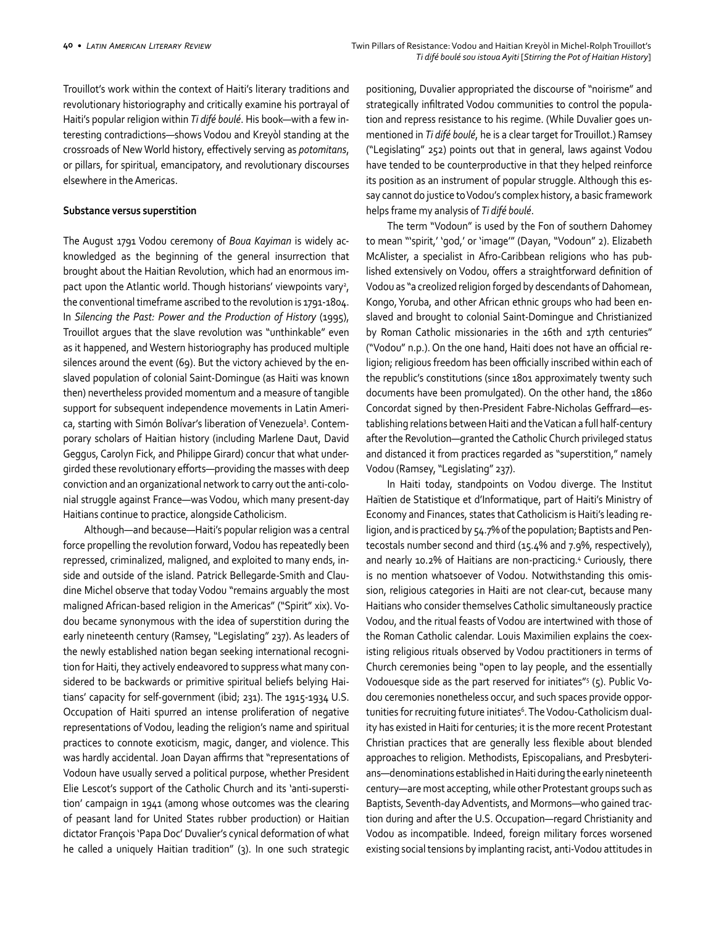Trouillot's work within the context of Haiti's literary traditions and revolutionary historiography and critically examine his portrayal of Haiti's popular religion within *Ti difé boulé*. His book—with a few interesting contradictions—shows Vodou and Kreyòl standing at the crossroads of New World history, effectively serving as *potomitans*, or pillars, for spiritual, emancipatory, and revolutionary discourses elsewhere in the Americas.

#### **Substance versus superstition**

The August 1791 Vodou ceremony of *Boua Kayiman* is widely acknowledged as the beginning of the general insurrection that brought about the Haitian Revolution, which had an enormous impact upon the Atlantic world. Though historians' viewpoints vary<sup>2</sup>, the conventional timeframe ascribed to the revolution is 1791-1804. In *Silencing the Past: Power and the Production of History* (1995), Trouillot argues that the slave revolution was "unthinkable" even as it happened, and Western historiography has produced multiple silences around the event (69). But the victory achieved by the enslaved population of colonial Saint-Domingue (as Haiti was known then) nevertheless provided momentum and a measure of tangible support for subsequent independence movements in Latin America, starting with Simón Bolívar's liberation of Venezuela3 . Contemporary scholars of Haitian history (including Marlene Daut, David Geggus, Carolyn Fick, and Philippe Girard) concur that what undergirded these revolutionary efforts—providing the masses with deep conviction and an organizational network to carry out the anti-colonial struggle against France—was Vodou, which many present-day Haitians continue to practice, alongside Catholicism.

Although—and because—Haiti's popular religion was a central force propelling the revolution forward, Vodou has repeatedly been repressed, criminalized, maligned, and exploited to many ends, inside and outside of the island. Patrick Bellegarde-Smith and Claudine Michel observe that today Vodou "remains arguably the most maligned African-based religion in the Americas" ("Spirit" xix). Vodou became synonymous with the idea of superstition during the early nineteenth century (Ramsey, "Legislating" 237). As leaders of the newly established nation began seeking international recognition for Haiti, they actively endeavored to suppress what many considered to be backwards or primitive spiritual beliefs belying Haitians' capacity for self-government (ibid; 231). The 1915-1934 U.S. Occupation of Haiti spurred an intense proliferation of negative representations of Vodou, leading the religion's name and spiritual practices to connote exoticism, magic, danger, and violence. This was hardly accidental. Joan Dayan affirms that "representations of Vodoun have usually served a political purpose, whether President Elie Lescot's support of the Catholic Church and its 'anti-superstition' campaign in 1941 (among whose outcomes was the clearing of peasant land for United States rubber production) or Haitian dictator François 'Papa Doc' Duvalier's cynical deformation of what he called a uniquely Haitian tradition" (3). In one such strategic positioning, Duvalier appropriated the discourse of "noirisme" and strategically infiltrated Vodou communities to control the population and repress resistance to his regime. (While Duvalier goes unmentioned in *Ti difé boulé*, he is a clear target for Trouillot.) Ramsey ("Legislating" 252) points out that in general, laws against Vodou have tended to be counterproductive in that they helped reinforce its position as an instrument of popular struggle. Although this essay cannot do justice to Vodou's complex history, a basic framework helps frame my analysis of *Ti difé boulé*.

The term "Vodoun" is used by the Fon of southern Dahomey to mean "'spirit,' 'god,' or 'image'" (Dayan, "Vodoun" 2). Elizabeth McAlister, a specialist in Afro-Caribbean religions who has published extensively on Vodou, offers a straightforward definition of Vodou as "a creolized religion forged by descendants of Dahomean, Kongo, Yoruba, and other African ethnic groups who had been enslaved and brought to colonial Saint-Domingue and Christianized by Roman Catholic missionaries in the 16th and 17th centuries" ("Vodou" n.p.). On the one hand, Haiti does not have an official religion; religious freedom has been officially inscribed within each of the republic's constitutions (since 1801 approximately twenty such documents have been promulgated). On the other hand, the 1860 Concordat signed by then-President Fabre-Nicholas Geffrard—establishing relations between Haiti and the Vatican a full half-century after the Revolution—granted the Catholic Church privileged status and distanced it from practices regarded as "superstition," namely Vodou (Ramsey, "Legislating" 237).

In Haiti today, standpoints on Vodou diverge. The Institut Haïtien de Statistique et d'Informatique, part of Haiti's Ministry of Economy and Finances, states that Catholicism is Haiti's leading religion, and is practiced by 54.7% of the population; Baptists and Pentecostals number second and third (15.4% and 7.9%, respectively), and nearly 10.2% of Haitians are non-practicing.<sup>4</sup> Curiously, there is no mention whatsoever of Vodou. Notwithstanding this omission, religious categories in Haiti are not clear-cut, because many Haitians who consider themselves Catholic simultaneously practice Vodou, and the ritual feasts of Vodou are intertwined with those of the Roman Catholic calendar. Louis Maximilien explains the coexisting religious rituals observed by Vodou practitioners in terms of Church ceremonies being "open to lay people, and the essentially Vodouesque side as the part reserved for initiates"<sup>5</sup> (5). Public Vodou ceremonies nonetheless occur, and such spaces provide opportunities for recruiting future initiates<sup>6</sup>. The Vodou-Catholicism duality has existed in Haiti for centuries; it is the more recent Protestant Christian practices that are generally less flexible about blended approaches to religion. Methodists, Episcopalians, and Presbyterians—denominations established in Haiti during the early nineteenth century—are most accepting, while other Protestant groups such as Baptists, Seventh-day Adventists, and Mormons—who gained traction during and after the U.S. Occupation—regard Christianity and Vodou as incompatible. Indeed, foreign military forces worsened existing social tensions by implanting racist, anti-Vodou attitudes in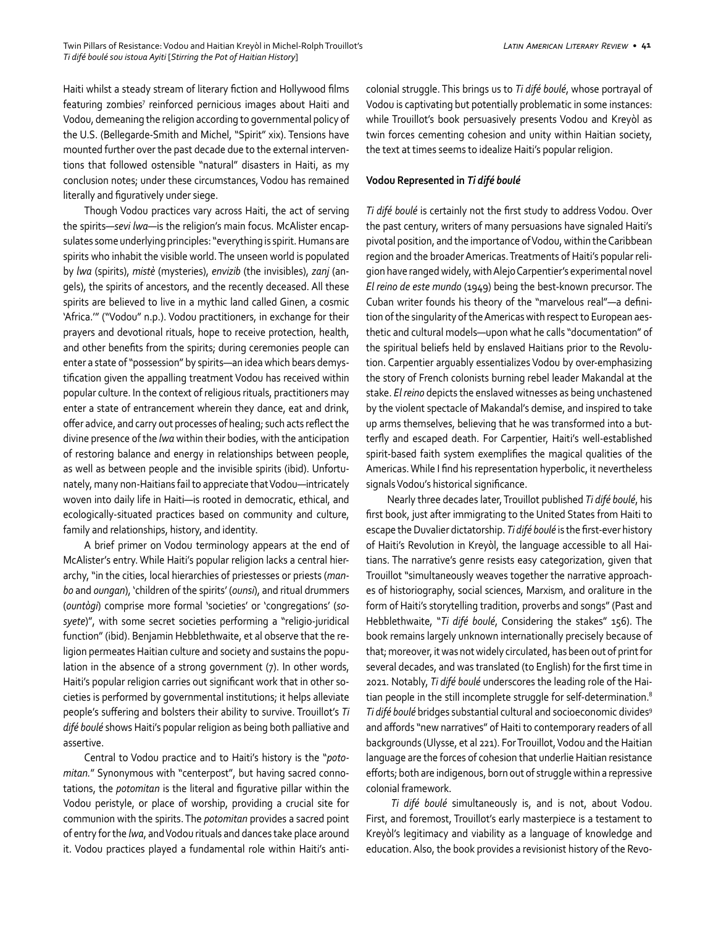Haiti whilst a steady stream of literary fiction and Hollywood films featuring zombies<sup>7</sup> reinforced pernicious images about Haiti and Vodou, demeaning the religion according to governmental policy of the U.S. (Bellegarde-Smith and Michel, "Spirit" xix). Tensions have mounted further over the past decade due to the external interventions that followed ostensible "natural" disasters in Haiti, as my conclusion notes; under these circumstances, Vodou has remained literally and figuratively under siege.

Though Vodou practices vary across Haiti, the act of serving the spirits—*sevi lwa*—is the religion's main focus. McAlister encapsulates some underlying principles: "everything is spirit. Humans are spirits who inhabit the visible world. The unseen world is populated by *lwa* (spirits), *mistè* (mysteries), *envizib* (the invisibles), *zanj* (angels), the spirits of ancestors, and the recently deceased. All these spirits are believed to live in a mythic land called Ginen, a cosmic 'Africa.'" ("Vodou" n.p.). Vodou practitioners, in exchange for their prayers and devotional rituals, hope to receive protection, health, and other benefits from the spirits; during ceremonies people can enter a state of "possession" by spirits—an idea which bears demystification given the appalling treatment Vodou has received within popular culture. In the context of religious rituals, practitioners may enter a state of entrancement wherein they dance, eat and drink, offer advice, and carry out processes of healing; such acts reflect the divine presence of the *lwa* within their bodies, with the anticipation of restoring balance and energy in relationships between people, as well as between people and the invisible spirits (ibid). Unfortunately, many non-Haitians fail to appreciate that Vodou—intricately woven into daily life in Haiti—is rooted in democratic, ethical, and ecologically-situated practices based on community and culture, family and relationships, history, and identity.

A brief primer on Vodou terminology appears at the end of McAlister's entry. While Haiti's popular religion lacks a central hierarchy, "in the cities, local hierarchies of priestesses or priests (*manbo* and *oungan*), 'children of the spirits' (*ounsi*), and ritual drummers (*ountògi*) comprise more formal 'societies' or 'congregations' (*sosyete*)", with some secret societies performing a "religio-juridical function" (ibid). Benjamin Hebblethwaite, et al observe that the religion permeates Haitian culture and society and sustains the population in the absence of a strong government (7). In other words, Haiti's popular religion carries out significant work that in other societies is performed by governmental institutions; it helps alleviate people's suffering and bolsters their ability to survive. Trouillot's *Ti difé boulé* shows Haiti's popular religion as being both palliative and assertive.

Central to Vodou practice and to Haiti's history is the "*potomitan.*" Synonymous with "centerpost", but having sacred connotations, the *potomitan* is the literal and figurative pillar within the Vodou peristyle, or place of worship, providing a crucial site for communion with the spirits. The *potomitan* provides a sacred point of entry for the *lwa*, and Vodou rituals and dances take place around it. Vodou practices played a fundamental role within Haiti's anticolonial struggle. This brings us to *Ti difé boulé*, whose portrayal of Vodou is captivating but potentially problematic in some instances: while Trouillot's book persuasively presents Vodou and Kreyòl as twin forces cementing cohesion and unity within Haitian society, the text at times seems to idealize Haiti's popular religion.

## **Vodou Represented in** *Ti difé boulé*

*Ti difé boulé* is certainly not the first study to address Vodou. Over the past century, writers of many persuasions have signaled Haiti's pivotal position, and the importance of Vodou, within the Caribbean region and the broader Americas. Treatments of Haiti's popular religion have ranged widely, with Alejo Carpentier's experimental novel *El reino de este mundo* (1949) being the best-known precursor. The Cuban writer founds his theory of the "marvelous real"—a definition of the singularity of the Americas with respect to European aesthetic and cultural models—upon what he calls "documentation" of the spiritual beliefs held by enslaved Haitians prior to the Revolution. Carpentier arguably essentializes Vodou by over-emphasizing the story of French colonists burning rebel leader Makandal at the stake. *El reino* depicts the enslaved witnesses as being unchastened by the violent spectacle of Makandal's demise, and inspired to take up arms themselves, believing that he was transformed into a butterfly and escaped death. For Carpentier, Haiti's well-established spirit-based faith system exemplifies the magical qualities of the Americas. While I find his representation hyperbolic, it nevertheless signals Vodou's historical significance.

Nearly three decades later, Trouillot published *Ti difé boulé*, his first book, just after immigrating to the United States from Haiti to escape the Duvalier dictatorship. *Ti difé boulé* is the first-ever history of Haiti's Revolution in Kreyòl, the language accessible to all Haitians. The narrative's genre resists easy categorization, given that Trouillot "simultaneously weaves together the narrative approaches of historiography, social sciences, Marxism, and oraliture in the form of Haiti's storytelling tradition, proverbs and songs" (Past and Hebblethwaite, "*Ti difé boulé*, Considering the stakes" 156). The book remains largely unknown internationally precisely because of that; moreover, it was not widely circulated, has been out of print for several decades, and was translated (to English) for the first time in 2021. Notably, *Ti difé boulé* underscores the leading role of the Haitian people in the still incomplete struggle for self-determination.8 Ti difé boulé bridges substantial cultural and socioeconomic divides<sup>9</sup> and affords "new narratives" of Haiti to contemporary readers of all backgrounds (Ulysse, et al 221). For Trouillot, Vodou and the Haitian language are the forces of cohesion that underlie Haitian resistance efforts; both are indigenous, born out of struggle within a repressive colonial framework.

 *Ti difé boulé* simultaneously is, and is not, about Vodou. First, and foremost, Trouillot's early masterpiece is a testament to Kreyòl's legitimacy and viability as a language of knowledge and education. Also, the book provides a revisionist history of the Revo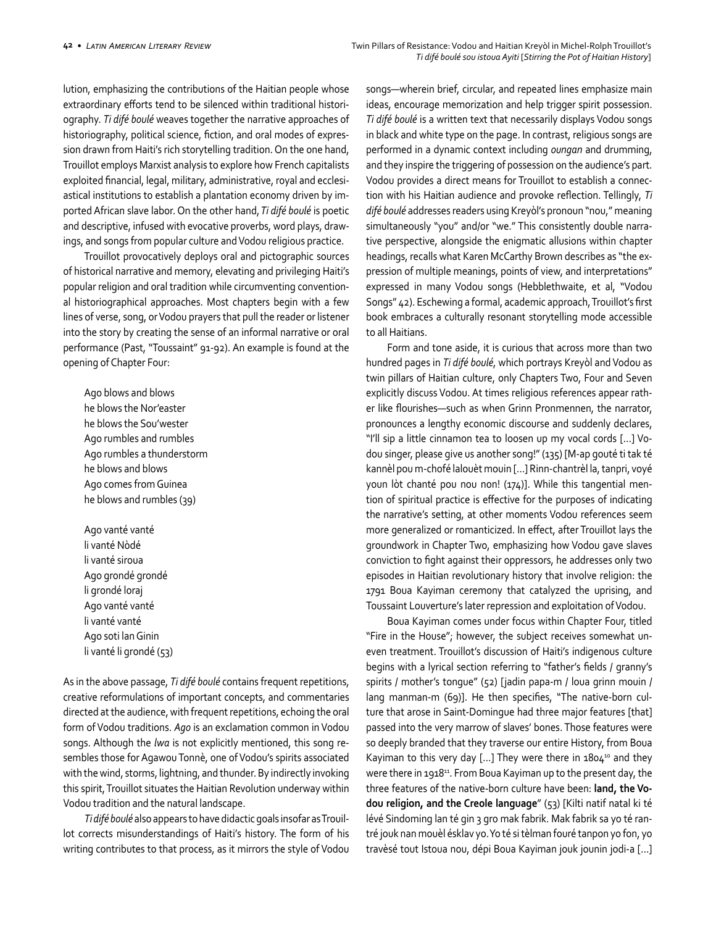lution, emphasizing the contributions of the Haitian people whose extraordinary efforts tend to be silenced within traditional historiography. *Ti difé boulé* weaves together the narrative approaches of historiography, political science, fiction, and oral modes of expression drawn from Haiti's rich storytelling tradition. On the one hand, Trouillot employs Marxist analysis to explore how French capitalists exploited financial, legal, military, administrative, royal and ecclesiastical institutions to establish a plantation economy driven by imported African slave labor. On the other hand, *Ti difé boulé* is poetic and descriptive, infused with evocative proverbs, word plays, drawings, and songs from popular culture and Vodou religious practice.

Trouillot provocatively deploys oral and pictographic sources of historical narrative and memory, elevating and privileging Haiti's popular religion and oral tradition while circumventing conventional historiographical approaches. Most chapters begin with a few lines of verse, song, or Vodou prayers that pull the reader or listener into the story by creating the sense of an informal narrative or oral performance (Past, "Toussaint" 91-92). An example is found at the opening of Chapter Four:

Ago blows and blows he blows the Nor'easter he blows the Sou'wester Ago rumbles and rumbles Ago rumbles a thunderstorm he blows and blows Ago comes from Guinea he blows and rumbles (39)

Ago vanté vanté li vanté Nòdé li vanté siroua Ago grondé grondé li grondé loraj Ago vanté vanté li vanté vanté Ago soti lan Ginin li vanté li grondé (53)

As in the above passage, *Ti difé boulé* contains frequent repetitions, creative reformulations of important concepts, and commentaries directed at the audience, with frequent repetitions, echoing the oral form of Vodou traditions. *Ago* is an exclamation common in Vodou songs. Although the *lwa* is not explicitly mentioned, this song resembles those for Agawou Tonnè, one of Vodou's spirits associated with the wind, storms, lightning, and thunder. By indirectly invoking this spirit, Trouillot situates the Haitian Revolution underway within Vodou tradition and the natural landscape.

 *Ti difé boulé* also appears to have didactic goals insofar as Trouillot corrects misunderstandings of Haiti's history. The form of his writing contributes to that process, as it mirrors the style of Vodou

songs—wherein brief, circular, and repeated lines emphasize main ideas, encourage memorization and help trigger spirit possession. *Ti difé boulé* is a written text that necessarily displays Vodou songs in black and white type on the page. In contrast, religious songs are performed in a dynamic context including *oungan* and drumming, and they inspire the triggering of possession on the audience's part. Vodou provides a direct means for Trouillot to establish a connection with his Haitian audience and provoke reflection. Tellingly, *Ti difé boulé* addresses readers using Kreyòl's pronoun "nou," meaning simultaneously "you" and/or "we." This consistently double narrative perspective, alongside the enigmatic allusions within chapter headings, recalls what Karen McCarthy Brown describes as "the expression of multiple meanings, points of view, and interpretations" expressed in many Vodou songs (Hebblethwaite, et al, "Vodou Songs" 42). Eschewing a formal, academic approach, Trouillot's first book embraces a culturally resonant storytelling mode accessible to all Haitians.

Form and tone aside, it is curious that across more than two hundred pages in *Ti difé boulé*, which portrays Kreyòl and Vodou as twin pillars of Haitian culture, only Chapters Two, Four and Seven explicitly discuss Vodou. At times religious references appear rather like flourishes—such as when Grinn Pronmennen, the narrator, pronounces a lengthy economic discourse and suddenly declares, "I'll sip a little cinnamon tea to loosen up my vocal cords […] Vodou singer, please give us another song!" (135) [M-ap gouté ti tak té kannèl pou m-chofé lalouèt mouin […] Rinn-chantrèl la, tanpri, voyé youn lòt chanté pou nou non! (174)]. While this tangential mention of spiritual practice is effective for the purposes of indicating the narrative's setting, at other moments Vodou references seem more generalized or romanticized. In effect, after Trouillot lays the groundwork in Chapter Two, emphasizing how Vodou gave slaves conviction to fight against their oppressors, he addresses only two episodes in Haitian revolutionary history that involve religion: the 1791 Boua Kayiman ceremony that catalyzed the uprising, and Toussaint Louverture's later repression and exploitation of Vodou.

Boua Kayiman comes under focus within Chapter Four, titled "Fire in the House"; however, the subject receives somewhat uneven treatment. Trouillot's discussion of Haiti's indigenous culture begins with a lyrical section referring to "father's fields / granny's spirits / mother's tongue" (52) [jadin papa-m / loua grinn mouin / lang manman-m (69)]. He then specifies, "The native-born culture that arose in Saint-Domingue had three major features [that] passed into the very marrow of slaves' bones. Those features were so deeply branded that they traverse our entire History, from Boua Kayiman to this very day [...] They were there in  $1804^{10}$  and they were there in 1918<sup>11</sup>. From Boua Kayiman up to the present day, the three features of the native-born culture have been: **land, the Vodou religion, and the Creole language**" (53) [Kilti natif natal ki té lévé Sindoming lan té gin 3 gro mak fabrik. Mak fabrik sa yo té rantré jouk nan mouèl ésklav yo. Yo té si tèlman fouré tanpon yo fon, yo travèsé tout Istoua nou, dépi Boua Kayiman jouk jounin jodi-a […]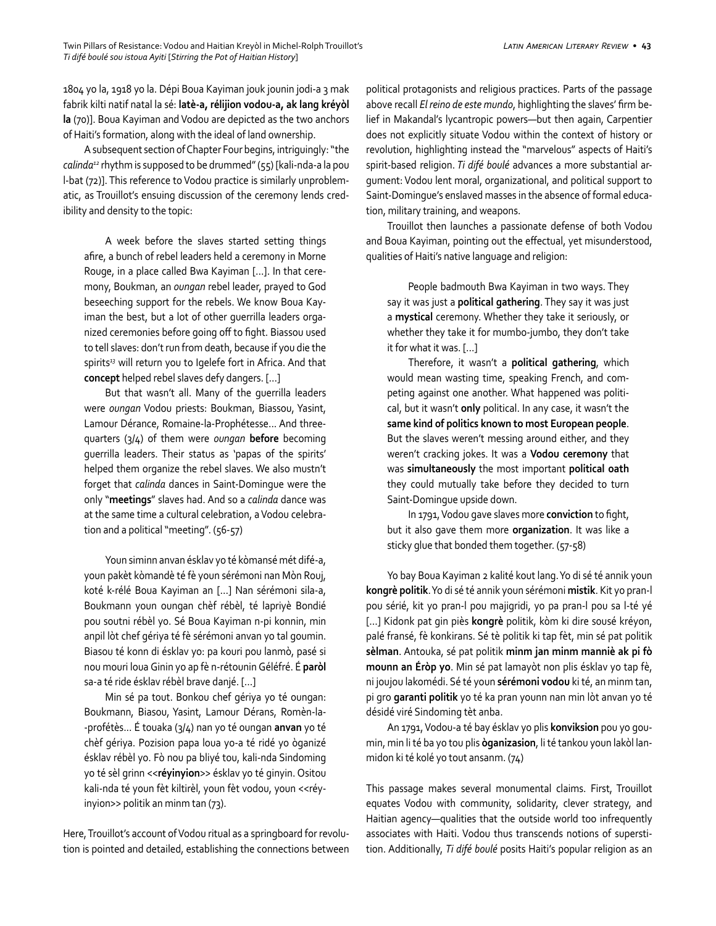1804 yo la, 1918 yo la. Dépi Boua Kayiman jouk jounin jodi-a 3 mak fabrik kilti natif natal la sé: **latè-a, rélijion vodou-a, ak lang kréyòl la** (70)]. Boua Kayiman and Vodou are depicted as the two anchors of Haiti's formation, along with the ideal of land ownership.

A subsequent section of Chapter Four begins, intriguingly: "the *calinda12* rhythm is supposed to be drummed" (55) [kali-nda-a la pou l-bat (72)]. This reference to Vodou practice is similarly unproblematic, as Trouillot's ensuing discussion of the ceremony lends credibility and density to the topic:

A week before the slaves started setting things afire, a bunch of rebel leaders held a ceremony in Morne Rouge, in a place called Bwa Kayiman […]. In that ceremony, Boukman, an *oungan* rebel leader, prayed to God beseeching support for the rebels. We know Boua Kayiman the best, but a lot of other guerrilla leaders organized ceremonies before going off to fight. Biassou used to tell slaves: don't run from death, because if you die the spirits*<sup>13</sup>* will return you to Igelefe fort in Africa. And that **concept** helped rebel slaves defy dangers. […]

But that wasn't all. Many of the guerrilla leaders were *oungan* Vodou priests: Boukman, Biassou, Yasint, Lamour Dérance, Romaine-la-Prophétesse... And threequarters (3/4) of them were *oungan* **before** becoming guerrilla leaders. Their status as 'papas of the spirits' helped them organize the rebel slaves. We also mustn't forget that *calinda* dances in Saint-Domingue were the only "**meetings**" slaves had. And so a *calinda* dance was at the same time a cultural celebration, a Vodou celebration and a political "meeting". (56-57)

Youn siminn anvan ésklav yo té kòmansé mét difé-a, youn pakèt kòmandè té fè youn sérémoni nan Mòn Rouj, koté k-rélé Boua Kayiman an […] Nan sérémoni sila-a, Boukmann youn oungan chèf rébèl, té lapriyè Bondié pou soutni rébèl yo. Sé Boua Kayiman n-pi konnin, min anpil lòt chef gériya té fè sérémoni anvan yo tal goumin. Biasou té konn di ésklav yo: pa kouri pou lanmò, pasé si nou mouri loua Ginin yo ap fè n-rétounin Géléfré. É **paròl** sa-a té ride ésklav rébèl brave danjé. […]

Min sé pa tout. Bonkou chef gériya yo té oungan: Boukmann, Biasou, Yasint, Lamour Dérans, Romèn-la- -profétès... É touaka (3/4) nan yo té oungan **anvan** yo té chèf gériya. Pozision papa loua yo-a té ridé yo òganizé ésklav rébèl yo. Fò nou pa bliyé tou, kali-nda Sindoming yo té sèl grinn <<**réyinyion**>> ésklav yo té ginyin. Ositou kali-nda té youn fèt kiltirèl, youn fèt vodou, youn <<réyinyion>> politik an minm tan (73).

Here, Trouillot's account of Vodou ritual as a springboard for revolution is pointed and detailed, establishing the connections between political protagonists and religious practices. Parts of the passage above recall *El reino de este mundo*, highlighting the slaves' firm belief in Makandal's lycantropic powers—but then again, Carpentier does not explicitly situate Vodou within the context of history or revolution, highlighting instead the "marvelous" aspects of Haiti's spirit-based religion. *Ti difé boulé* advances a more substantial argument: Vodou lent moral, organizational, and political support to Saint-Domingue's enslaved masses in the absence of formal education, military training, and weapons.

Trouillot then launches a passionate defense of both Vodou and Boua Kayiman, pointing out the effectual, yet misunderstood, qualities of Haiti's native language and religion:

People badmouth Bwa Kayiman in two ways. They say it was just a **political gathering**. They say it was just a **mystical** ceremony. Whether they take it seriously, or whether they take it for mumbo-jumbo, they don't take it for what it was. […]

Therefore, it wasn't a **political gathering**, which would mean wasting time, speaking French, and competing against one another. What happened was political, but it wasn't **only** political. In any case, it wasn't the **same kind of politics known to most European people**. But the slaves weren't messing around either, and they weren't cracking jokes. It was a **Vodou ceremony** that was **simultaneously** the most important **political oath** they could mutually take before they decided to turn Saint-Domingue upside down.

In 1791, Vodou gave slaves more **conviction** to fight, but it also gave them more **organization**. It was like a sticky glue that bonded them together. (57-58)

Yo bay Boua Kayiman 2 kalité kout lang. Yo di sé té annik youn **kongrè politik**. Yo di sé té annik youn sérémoni **mistik**. Kit yo pran-l pou sérié, kit yo pran-l pou majigridi, yo pa pran-l pou sa l-té yé […] Kidonk pat gin piès **kongrè** politik, kòm ki dire sousé kréyon, palé fransé, fè konkirans. Sé tè politik ki tap fèt, min sé pat politik **sèlman**. Antouka, sé pat politik **minm jan minm manniè ak pi fò mounn an Éròp yo**. Min sé pat lamayòt non plis ésklav yo tap fè, ni joujou lakomédi. Sé té youn **sérémoni vodou** ki té, an minm tan, pi gro **garanti politik** yo té ka pran younn nan min lòt anvan yo té désidé viré Sindoming tèt anba.

An 1791, Vodou-a té bay ésklav yo plis **konviksion** pou yo goumin, min li té ba yo tou plis **òganizasion**, li té tankou youn lakòl lanmidon ki té kolé yo tout ansanm. (74)

This passage makes several monumental claims. First, Trouillot equates Vodou with community, solidarity, clever strategy, and Haitian agency—qualities that the outside world too infrequently associates with Haiti. Vodou thus transcends notions of superstition. Additionally, *Ti difé boulé* posits Haiti's popular religion as an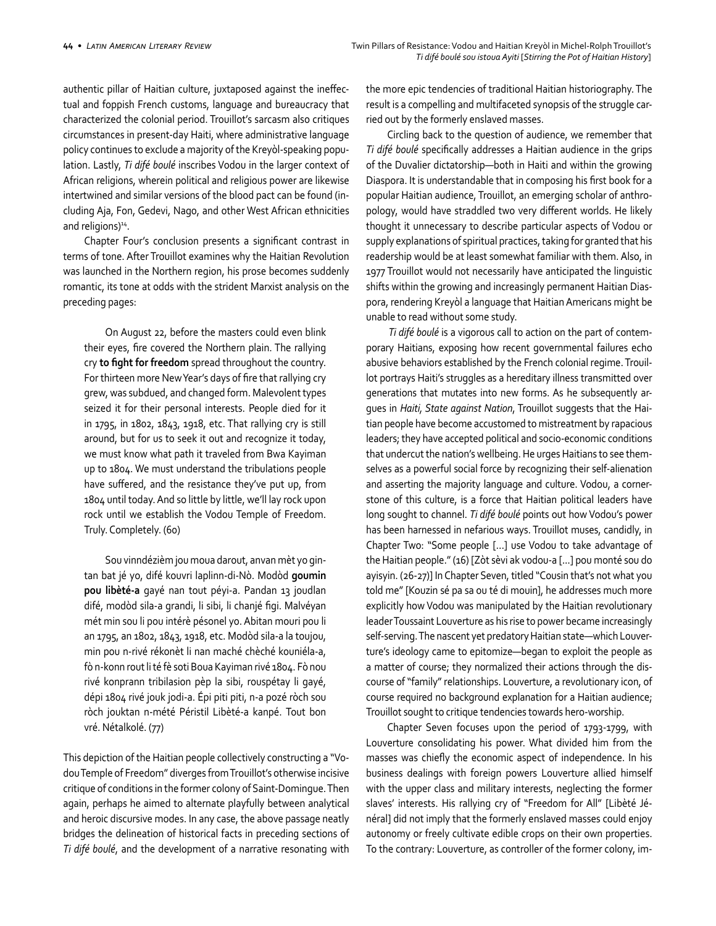authentic pillar of Haitian culture, juxtaposed against the ineffectual and foppish French customs, language and bureaucracy that characterized the colonial period. Trouillot's sarcasm also critiques circumstances in present-day Haiti, where administrative language policy continues to exclude a majority of the Kreyòl-speaking population. Lastly, *Ti difé boulé* inscribes Vodou in the larger context of African religions, wherein political and religious power are likewise intertwined and similar versions of the blood pact can be found (including Aja, Fon, Gedevi, Nago, and other West African ethnicities and religions)<sup>14</sup>.

Chapter Four's conclusion presents a significant contrast in terms of tone. After Trouillot examines why the Haitian Revolution was launched in the Northern region, his prose becomes suddenly romantic, its tone at odds with the strident Marxist analysis on the preceding pages:

On August 22, before the masters could even blink their eyes, fire covered the Northern plain. The rallying cry **to fight for freedom** spread throughout the country. For thirteen more New Year's days of fire that rallying cry grew, was subdued, and changed form. Malevolent types seized it for their personal interests. People died for it in 1795, in 1802, 1843, 1918, etc. That rallying cry is still around, but for us to seek it out and recognize it today, we must know what path it traveled from Bwa Kayiman up to 1804. We must understand the tribulations people have suffered, and the resistance they've put up, from 1804 until today. And so little by little, we'll lay rock upon rock until we establish the Vodou Temple of Freedom. Truly. Completely. (60)

Sou vinndézièm jou moua darout, anvan mèt yo gintan bat jé yo, difé kouvri laplinn-di-Nò. Modòd **goumin pou libèté-a** gayé nan tout péyi-a. Pandan 13 joudlan difé, modòd sila-a grandi, li sibi, li chanjé figi. Malvéyan mét min sou li pou intérè pésonel yo. Abitan mouri pou li an 1795, an 1802, 1843, 1918, etc. Modòd sila-a la toujou, min pou n-rivé rékonèt li nan maché chèché kouniéla-a, fò n-konn rout li té fè soti Boua Kayiman rivé 1804. Fò nou rivé konprann tribilasion pèp la sibi, rouspétay li gayé, dépi 1804 rivé jouk jodi-a. Épi piti piti, n-a pozé ròch sou ròch jouktan n-mété Péristil Libèté-a kanpé. Tout bon vré. Nétalkolé. (77)

This depiction of the Haitian people collectively constructing a "Vodou Temple of Freedom" diverges from Trouillot's otherwise incisive critique of conditions in the former colony of Saint-Domingue. Then again, perhaps he aimed to alternate playfully between analytical and heroic discursive modes. In any case, the above passage neatly bridges the delineation of historical facts in preceding sections of *Ti difé boulé*, and the development of a narrative resonating with the more epic tendencies of traditional Haitian historiography. The result is a compelling and multifaceted synopsis of the struggle carried out by the formerly enslaved masses.

Circling back to the question of audience, we remember that *Ti difé boulé* specifically addresses a Haitian audience in the grips of the Duvalier dictatorship—both in Haiti and within the growing Diaspora. It is understandable that in composing his first book for a popular Haitian audience, Trouillot, an emerging scholar of anthropology, would have straddled two very different worlds. He likely thought it unnecessary to describe particular aspects of Vodou or supply explanations of spiritual practices, taking for granted that his readership would be at least somewhat familiar with them. Also, in 1977 Trouillot would not necessarily have anticipated the linguistic shifts within the growing and increasingly permanent Haitian Diaspora, rendering Kreyòl a language that Haitian Americans might be unable to read without some study.

 *Ti difé boulé* is a vigorous call to action on the part of contemporary Haitians, exposing how recent governmental failures echo abusive behaviors established by the French colonial regime. Trouillot portrays Haiti's struggles as a hereditary illness transmitted over generations that mutates into new forms. As he subsequently argues in *Haiti, State against Nation*, Trouillot suggests that the Haitian people have become accustomed to mistreatment by rapacious leaders; they have accepted political and socio-economic conditions that undercut the nation's wellbeing. He urges Haitians to see themselves as a powerful social force by recognizing their self-alienation and asserting the majority language and culture. Vodou, a cornerstone of this culture, is a force that Haitian political leaders have long sought to channel. *Ti difé boulé* points out how Vodou's power has been harnessed in nefarious ways. Trouillot muses, candidly, in Chapter Two: "Some people […] use Vodou to take advantage of the Haitian people." (16) [Zòt sèvi ak vodou-a [...] pou monté sou do ayisyin. (26-27)] In Chapter Seven, titled "Cousin that's not what you told me" [Kouzin sé pa sa ou té di mouin], he addresses much more explicitly how Vodou was manipulated by the Haitian revolutionary leader Toussaint Louverture as his rise to power became increasingly self-serving. The nascent yet predatory Haitian state—which Louverture's ideology came to epitomize—began to exploit the people as a matter of course; they normalized their actions through the discourse of "family" relationships. Louverture, a revolutionary icon, of course required no background explanation for a Haitian audience; Trouillot sought to critique tendencies towards hero-worship.

Chapter Seven focuses upon the period of 1793-1799, with Louverture consolidating his power. What divided him from the masses was chiefly the economic aspect of independence. In his business dealings with foreign powers Louverture allied himself with the upper class and military interests, neglecting the former slaves' interests. His rallying cry of "Freedom for All" [Libèté Jénéral] did not imply that the formerly enslaved masses could enjoy autonomy or freely cultivate edible crops on their own properties. To the contrary: Louverture, as controller of the former colony, im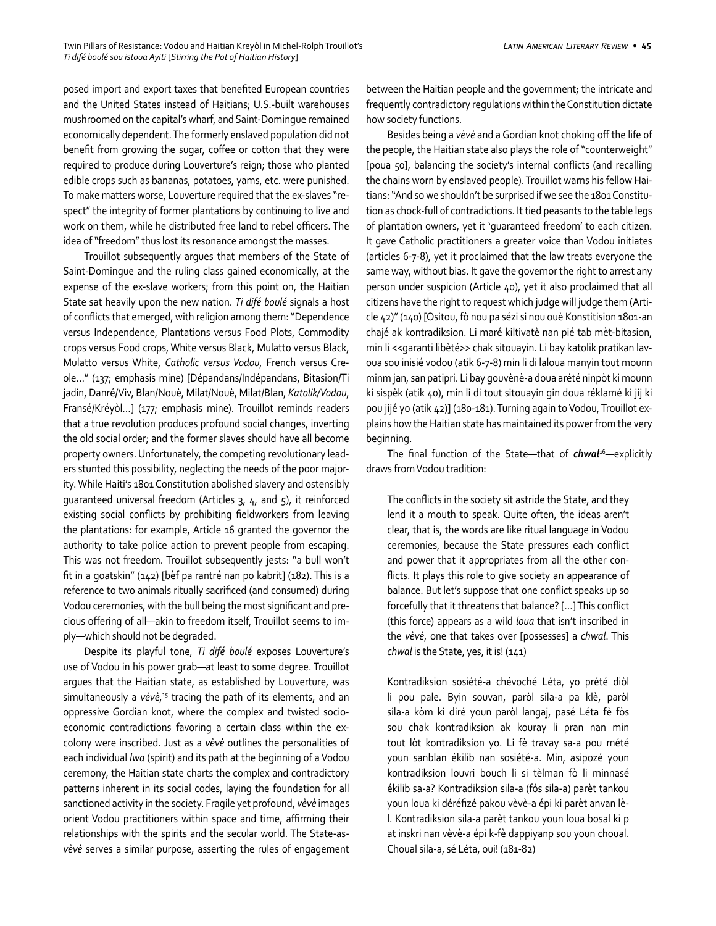posed import and export taxes that benefited European countries and the United States instead of Haitians; U.S.-built warehouses mushroomed on the capital's wharf, and Saint-Domingue remained economically dependent. The formerly enslaved population did not benefit from growing the sugar, coffee or cotton that they were required to produce during Louverture's reign; those who planted edible crops such as bananas, potatoes, yams, etc. were punished. To make matters worse, Louverture required that the ex-slaves "respect" the integrity of former plantations by continuing to live and work on them, while he distributed free land to rebel officers. The idea of "freedom" thus lost its resonance amongst the masses.

Trouillot subsequently argues that members of the State of Saint-Domingue and the ruling class gained economically, at the expense of the ex-slave workers; from this point on, the Haitian State sat heavily upon the new nation. *Ti difé boulé* signals a host of conflicts that emerged, with religion among them: "Dependence versus Independence, Plantations versus Food Plots, Commodity crops versus Food crops, White versus Black, Mulatto versus Black, Mulatto versus White, *Catholic versus Vodou*, French versus Creole…" (137; emphasis mine) [Dépandans/Indépandans, Bitasion/Ti jadin, Danré/Viv, Blan/Nouè, Milat/Nouè, Milat/Blan, *Katolik/Vodou*, Fransé/Kréyòl…] (177; emphasis mine). Trouillot reminds readers that a true revolution produces profound social changes, inverting the old social order; and the former slaves should have all become property owners. Unfortunately, the competing revolutionary leaders stunted this possibility, neglecting the needs of the poor majority. While Haiti's 1801 Constitution abolished slavery and ostensibly guaranteed universal freedom (Articles 3, 4, and 5), it reinforced existing social conflicts by prohibiting fieldworkers from leaving the plantations: for example, Article 16 granted the governor the authority to take police action to prevent people from escaping. This was not freedom. Trouillot subsequently jests: "a bull won't fit in a goatskin" (142) [bèf pa rantré nan po kabrit] (182). This is a reference to two animals ritually sacrificed (and consumed) during Vodou ceremonies, with the bull being the most significant and precious offering of all—akin to freedom itself, Trouillot seems to imply—which should not be degraded.

Despite its playful tone, *Ti difé boulé* exposes Louverture's use of Vodou in his power grab—at least to some degree. Trouillot argues that the Haitian state, as established by Louverture, was simultaneously a vėvė,<sup>15</sup> tracing the path of its elements, and an oppressive Gordian knot, where the complex and twisted socioeconomic contradictions favoring a certain class within the excolony were inscribed. Just as a *vèvè* outlines the personalities of each individual *lwa* (spirit) and its path at the beginning of a Vodou ceremony, the Haitian state charts the complex and contradictory patterns inherent in its social codes, laying the foundation for all sanctioned activity in the society. Fragile yet profound, *vèvè* images orient Vodou practitioners within space and time, affirming their relationships with the spirits and the secular world. The State-as*vèvè* serves a similar purpose, asserting the rules of engagement between the Haitian people and the government; the intricate and frequently contradictory regulations within the Constitution dictate how society functions.

Besides being a *vèvè* and a Gordian knot choking off the life of the people, the Haitian state also plays the role of "counterweight" [poua 50], balancing the society's internal conflicts (and recalling the chains worn by enslaved people). Trouillot warns his fellow Haitians: "And so we shouldn't be surprised if we see the 1801 Constitution as chock-full of contradictions. It tied peasants to the table legs of plantation owners, yet it 'guaranteed freedom' to each citizen. It gave Catholic practitioners a greater voice than Vodou initiates (articles 6-7-8), yet it proclaimed that the law treats everyone the same way, without bias. It gave the governor the right to arrest any person under suspicion (Article 40), yet it also proclaimed that all citizens have the right to request which judge will judge them (Article 42)" (140) [Ositou, fò nou pa sézi si nou ouè Konstitision 1801-an chajé ak kontradiksion. Li maré kiltivatè nan pié tab mèt-bitasion, min li <<garanti libèté>> chak sitouayin. Li bay katolik pratikan lavoua sou inisié vodou (atik 6-7-8) min li di laloua manyin tout mounn minm jan, san patipri. Li bay gouvènè-a doua arété ninpòt ki mounn ki sispèk (atik 40), min li di tout sitouayin gin doua réklamé ki jij ki pou jijé yo (atik 42)] (180-181). Turning again to Vodou, Trouillot explains how the Haitian state has maintained its power from the very beginning.

The final function of the State—that of *chwal*<sup>16</sup>*—*explicitly draws from Vodou tradition:

The conflicts in the society sit astride the State, and they lend it a mouth to speak. Quite often, the ideas aren't clear, that is, the words are like ritual language in Vodou ceremonies, because the State pressures each conflict and power that it appropriates from all the other conflicts. It plays this role to give society an appearance of balance. But let's suppose that one conflict speaks up so forcefully that it threatens that balance? […] This conflict (this force) appears as a wild *loua* that isn't inscribed in the *vèvè*, one that takes over [possesses] a *chwal*. This *chwal* is the State, yes, it is! (141)

Kontradiksion sosiété-a chévoché Léta, yo prété diòl li pou pale. Byin souvan, paròl sila-a pa klè, paròl sila-a kòm ki diré youn paròl langaj, pasé Léta fè fòs sou chak kontradiksion ak kouray li pran nan min tout lòt kontradiksion yo. Li fè travay sa-a pou mété youn sanblan ékilib nan sosiété-a. Min, asipozé youn kontradiksion louvri bouch li si tèlman fò li minnasé ékilib sa-a? Kontradiksion sila-a (fós sila-a) parèt tankou youn loua ki déréfizé pakou vèvè-a épi ki parèt anvan lèl. Kontradiksion sila-a parèt tankou youn loua bosal ki p at inskri nan vèvè-a épi k-fè dappiyanp sou youn choual. Choual sila-a, sé Léta, oui! (181-82)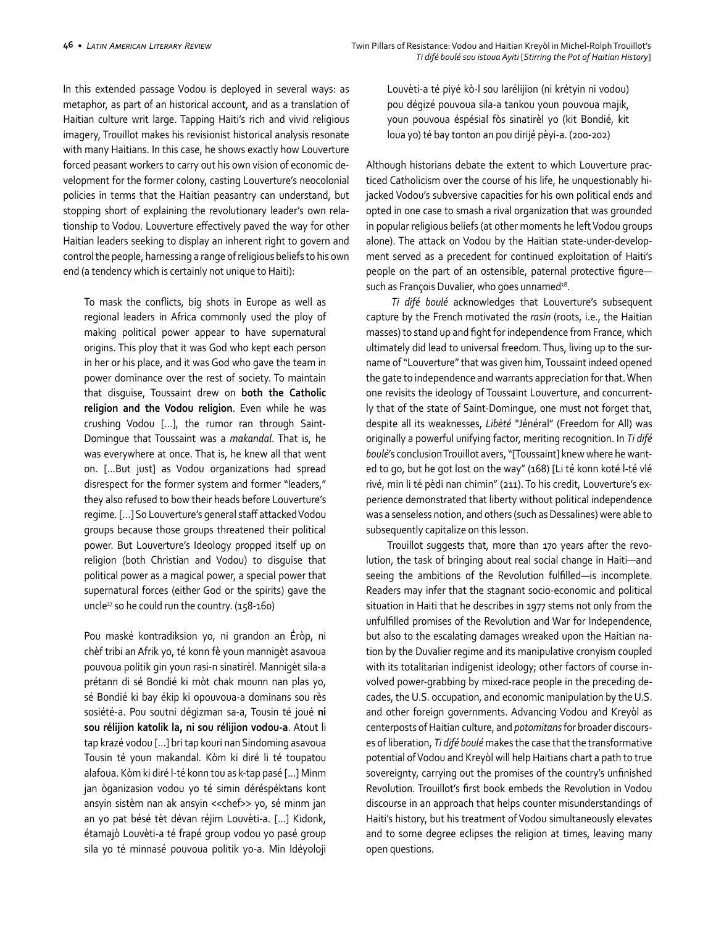In this extended passage Vodou is deployed in several ways: as metaphor, as part of an historical account, and as a translation of Haitian culture writ large. Tapping Haiti's rich and vivid religious imagery, Trouillot makes his revisionist historical analysis resonate with many Haitians. In this case, he shows exactly how Louverture forced peasant workers to carry out his own vision of economic development for the former colony, casting Louverture's neocolonial policies in terms that the Haitian peasantry can understand, but stopping short of explaining the revolutionary leader's own relationship to Vodou. Louverture effectively paved the way for other Haitian leaders seeking to display an inherent right to govern and control the people, harnessing a range of religious beliefs to his own end (a tendency which is certainly not unique to Haiti):

To mask the conflicts, big shots in Europe as well as regional leaders in Africa commonly used the ploy of making political power appear to have supernatural origins. This ploy that it was God who kept each person in her or his place, and it was God who gave the team in power dominance over the rest of society. To maintain that disguise, Toussaint drew on **both the Catholic religion and the Vodou religion**. Even while he was crushing Vodou […], the rumor ran through Saint-Domingue that Toussaint was a *makandal*. That is, he was everywhere at once. That is, he knew all that went on. […But just] as Vodou organizations had spread disrespect for the former system and former "leaders," they also refused to bow their heads before Louverture's regime. […] So Louverture's general staff attacked Vodou groups because those groups threatened their political power. But Louverture's Ideology propped itself up on religion (both Christian and Vodou) to disguise that political power as a magical power, a special power that supernatural forces (either God or the spirits) gave the uncle17 so he could run the country. (158-160)

Pou maské kontradiksion yo, ni grandon an Éròp, ni chèf tribi an Afrik yo, té konn fè youn mannigèt asavoua pouvoua politik gin youn rasi-n sinatirèl. Mannigèt sila-a prétann di sé Bondié ki mòt chak mounn nan plas yo, sé Bondié ki bay ékip ki opouvoua-a dominans sou rès sosiété-a. Pou soutni dégizman sa-a, Tousin té joué **ni sou rélijion katolik la, ni sou rélijion vodou-a**. Atout li tap krazé vodou […] bri tap kouri nan Sindoming asavoua Tousin té youn makandal. Kòm ki diré li té toupatou alafoua. Kòm ki diré l-té konn tou as k-tap pasé [...] Minm jan òganizasion vodou yo té simin déréspéktans kont ansyin sistèm nan ak ansyin <<chef>> yo, sé minm jan an yo pat bésé tèt dévan réjim Louvèti-a. […] Kidonk, étamajò Louvèti-a té frapé group vodou yo pasé group sila yo té minnasé pouvoua politik yo-a. Min Idéyoloji

Louvèti-a té piyé kò-l sou larélijion (ni krétyin ni vodou) pou dégizé pouvoua sila-a tankou youn pouvoua majik, youn pouvoua éspésial fòs sinatirèl yo (kit Bondié, kit loua yo) té bay tonton an pou dirijé pèyi-a. (200-202)

Although historians debate the extent to which Louverture practiced Catholicism over the course of his life, he unquestionably hijacked Vodou's subversive capacities for his own political ends and opted in one case to smash a rival organization that was grounded in popular religious beliefs (at other moments he left Vodou groups alone). The attack on Vodou by the Haitian state-under-development served as a precedent for continued exploitation of Haiti's people on the part of an ostensible, paternal protective figure such as François Duvalier, who goes unnamed<sup>18</sup>.

 *Ti difé boulé* acknowledges that Louverture's subsequent capture by the French motivated the *rasin* (roots, i.e., the Haitian masses) to stand up and fight for independence from France, which ultimately did lead to universal freedom. Thus, living up to the surname of "Louverture" that was given him, Toussaint indeed opened the gate to independence and warrants appreciation for that. When one revisits the ideology of Toussaint Louverture, and concurrently that of the state of Saint-Domingue, one must not forget that, despite all its weaknesses, *Libèté "*Jénéral" (Freedom for All) was originally a powerful unifying factor, meriting recognition. In *Ti difé boulé*'s conclusion Trouillot avers, "[Toussaint] knew where he wanted to go, but he got lost on the way" (168) [Li té konn koté l-té vlé rivé, min li té pèdi nan chimin" (211). To his credit, Louverture's experience demonstrated that liberty without political independence was a senseless notion, and others (such as Dessalines) were able to subsequently capitalize on this lesson.

Trouillot suggests that, more than 170 years after the revolution, the task of bringing about real social change in Haiti—and seeing the ambitions of the Revolution fulfilled—is incomplete. Readers may infer that the stagnant socio-economic and political situation in Haiti that he describes in 1977 stems not only from the unfulfilled promises of the Revolution and War for Independence, but also to the escalating damages wreaked upon the Haitian nation by the Duvalier regime and its manipulative cronyism coupled with its totalitarian indigenist ideology; other factors of course involved power-grabbing by mixed-race people in the preceding decades, the U.S. occupation, and economic manipulation by the U.S. and other foreign governments. Advancing Vodou and Kreyòl as centerposts of Haitian culture, and *potomitans* for broader discourses of liberation, *Ti difé boulé* makes the case that the transformative potential of Vodou and Kreyòl will help Haitians chart a path to true sovereignty, carrying out the promises of the country's unfinished Revolution. Trouillot's first book embeds the Revolution in Vodou discourse in an approach that helps counter misunderstandings of Haiti's history, but his treatment of Vodou simultaneously elevates and to some degree eclipses the religion at times, leaving many open questions.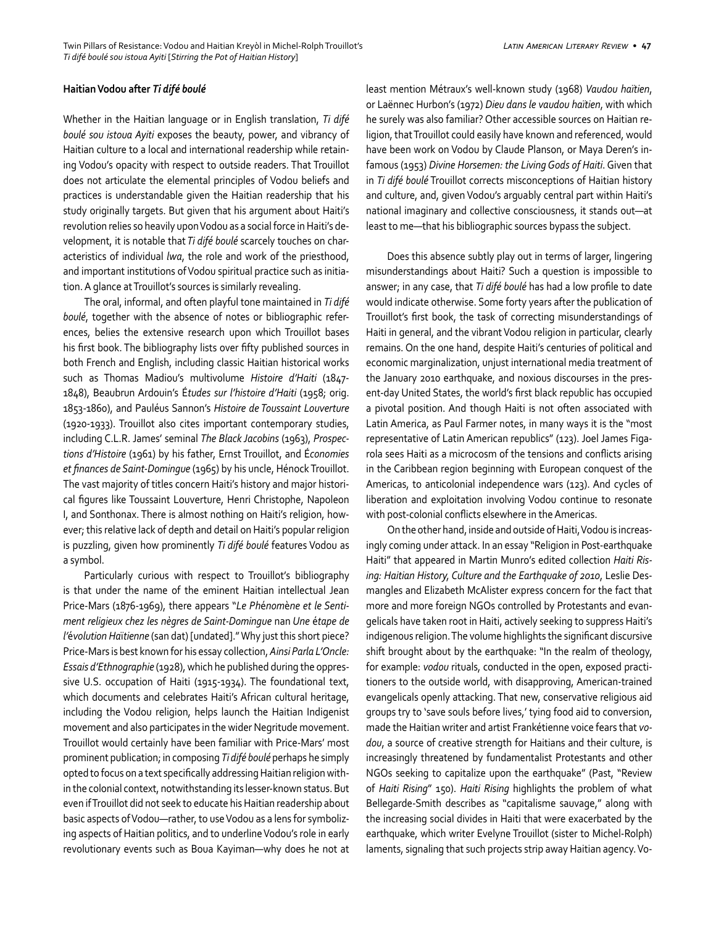#### **Haitian Vodou after** *Ti difé boulé*

Whether in the Haitian language or in English translation, *Ti difé boulé sou istoua Ayiti* exposes the beauty, power, and vibrancy of Haitian culture to a local and international readership while retaining Vodou's opacity with respect to outside readers. That Trouillot does not articulate the elemental principles of Vodou beliefs and practices is understandable given the Haitian readership that his study originally targets. But given that his argument about Haiti's revolution relies so heavily upon Vodou as a social force in Haiti's development, it is notable that *Ti difé boulé* scarcely touches on characteristics of individual *lwa*, the role and work of the priesthood, and important institutions of Vodou spiritual practice such as initiation. A glance at Trouillot's sources is similarly revealing.

The oral, informal, and often playful tone maintained in *Ti difé boulé*, together with the absence of notes or bibliographic references, belies the extensive research upon which Trouillot bases his first book. The bibliography lists over fifty published sources in both French and English, including classic Haitian historical works such as Thomas Madiou's multivolume *Histoire d'Haiti* (1847- 1848), Beaubrun Ardouin's É*tudes sur l'histoire d'Haiti* (1958; orig. 1853-1860), and Pauléus Sannon's *Histoire de Toussaint Louverture* (1920-1933). Trouillot also cites important contemporary studies, including C.L.R. James' seminal *The Black Jacobins* (1963), *Prospections d'Histoire* (1961) by his father, Ernst Trouillot, and É*conomies et finances de Saint-Domingue* (1965) by his uncle, Hénock Trouillot. The vast majority of titles concern Haiti's history and major historical figures like Toussaint Louverture, Henri Christophe, Napoleon I, and Sonthonax. There is almost nothing on Haiti's religion, however; this relative lack of depth and detail on Haiti's popular religion is puzzling, given how prominently *Ti difé boulé* features Vodou as a symbol.

Particularly curious with respect to Trouillot's bibliography is that under the name of the eminent Haitian intellectual Jean Price-Mars (1876-1969), there appears "*Le Ph*é*nom*è*ne et le Sentiment religieux chez les nègres de Saint-Domingue* nan *Une* é*tape de l'*é*volution Ha*ï*tienne* (san dat) [undated]." Why just this short piece? Price-Mars is best known for his essay collection, *Ainsi Parla L'Oncle: Essais d'Ethnographie* (1928), which he published during the oppressive U.S. occupation of Haiti (1915-1934). The foundational text, which documents and celebrates Haiti's African cultural heritage, including the Vodou religion, helps launch the Haitian Indigenist movement and also participates in the wider Negritude movement. Trouillot would certainly have been familiar with Price-Mars' most prominent publication; in composing *Ti difé boulé* perhaps he simply opted to focus on a text specifically addressing Haitian religion within the colonial context, notwithstanding its lesser-known status. But even if Trouillot did not seek to educate his Haitian readership about basic aspects of Vodou—rather, to use Vodou as a lens for symbolizing aspects of Haitian politics, and to underline Vodou's role in early revolutionary events such as Boua Kayiman—why does he not at least mention Métraux's well-known study (1968) *Vaudou haïtien*, or Laënnec Hurbon's (1972) *Dieu dans le vaudou haïtien*, with which he surely was also familiar? Other accessible sources on Haitian religion, that Trouillot could easily have known and referenced, would have been work on Vodou by Claude Planson, or Maya Deren's infamous (1953) *Divine Horsemen: the Living Gods of Haiti*. Given that in *Ti difé boulé* Trouillot corrects misconceptions of Haitian history and culture, and, given Vodou's arguably central part within Haiti's national imaginary and collective consciousness, it stands out—at least to me—that his bibliographic sources bypass the subject.

Does this absence subtly play out in terms of larger, lingering misunderstandings about Haiti? Such a question is impossible to answer; in any case, that *Ti difé boulé* has had a low profile to date would indicate otherwise. Some forty years after the publication of Trouillot's first book, the task of correcting misunderstandings of Haiti in general, and the vibrant Vodou religion in particular, clearly remains. On the one hand, despite Haiti's centuries of political and economic marginalization, unjust international media treatment of the January 2010 earthquake, and noxious discourses in the present-day United States, the world's first black republic has occupied a pivotal position. And though Haiti is not often associated with Latin America, as Paul Farmer notes, in many ways it is the "most representative of Latin American republics" (123). Joel James Figarola sees Haiti as a microcosm of the tensions and conflicts arising in the Caribbean region beginning with European conquest of the Americas, to anticolonial independence wars (123). And cycles of liberation and exploitation involving Vodou continue to resonate with post-colonial conflicts elsewhere in the Americas.

On the other hand, inside and outside of Haiti, Vodou is increasingly coming under attack. In an essay "Religion in Post-earthquake Haiti" that appeared in Martin Munro's edited collection *Haiti Rising: Haitian History, Culture and the Earthquake of 2010*, Leslie Desmangles and Elizabeth McAlister express concern for the fact that more and more foreign NGOs controlled by Protestants and evangelicals have taken root in Haiti, actively seeking to suppress Haiti's indigenous religion. The volume highlights the significant discursive shift brought about by the earthquake: "In the realm of theology, for example: *vodou* rituals, conducted in the open, exposed practitioners to the outside world, with disapproving, American-trained evangelicals openly attacking. That new, conservative religious aid groups try to 'save souls before lives,' tying food aid to conversion, made the Haitian writer and artist Frankétienne voice fears that *vodou*, a source of creative strength for Haitians and their culture, is increasingly threatened by fundamentalist Protestants and other NGOs seeking to capitalize upon the earthquake" (Past, "Review of *Haiti Rising*" 150). *Haiti Rising* highlights the problem of what Bellegarde-Smith describes as "capitalisme sauvage," along with the increasing social divides in Haiti that were exacerbated by the earthquake, which writer Evelyne Trouillot (sister to Michel-Rolph) laments, signaling that such projects strip away Haitian agency. Vo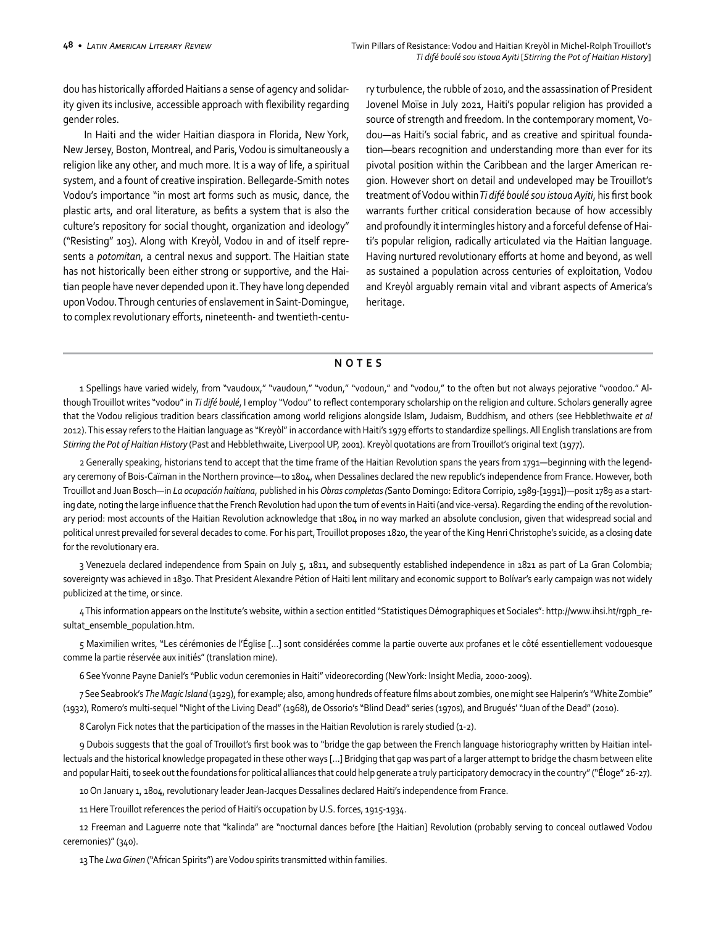dou has historically afforded Haitians a sense of agency and solidarity given its inclusive, accessible approach with flexibility regarding gender roles.

In Haiti and the wider Haitian diaspora in Florida, New York, New Jersey, Boston, Montreal, and Paris, Vodou is simultaneously a religion like any other, and much more. It is a way of life, a spiritual system, and a fount of creative inspiration. Bellegarde-Smith notes Vodou's importance "in most art forms such as music, dance, the plastic arts, and oral literature, as befits a system that is also the culture's repository for social thought, organization and ideology" ("Resisting" 103). Along with Kreyòl, Vodou in and of itself represents a *potomitan*, a central nexus and support. The Haitian state has not historically been either strong or supportive, and the Haitian people have never depended upon it. They have long depended upon Vodou. Through centuries of enslavement in Saint-Domingue, to complex revolutionary efforts, nineteenth- and twentieth-century turbulence, the rubble of 2010, and the assassination of President Jovenel Moïse in July 2021, Haiti's popular religion has provided a source of strength and freedom. In the contemporary moment, Vodou—as Haiti's social fabric, and as creative and spiritual foundation—bears recognition and understanding more than ever for its pivotal position within the Caribbean and the larger American region. However short on detail and undeveloped may be Trouillot's treatment of Vodou within *Ti difé boulé sou istoua Ayiti*, his first book warrants further critical consideration because of how accessibly and profoundly it intermingles history and a forceful defense of Haiti's popular religion, radically articulated via the Haitian language. Having nurtured revolutionary efforts at home and beyond, as well as sustained a population across centuries of exploitation, Vodou and Kreyòl arguably remain vital and vibrant aspects of America's heritage.

## **NOTES**

1 Spellings have varied widely, from "vaudoux," "vaudoun," "vodun," "vodoun," and "vodou," to the often but not always pejorative "voodoo." Although Trouillot writes "vodou" in *Ti difé boulé*, I employ "Vodou" to reflect contemporary scholarship on the religion and culture. Scholars generally agree that the Vodou religious tradition bears classification among world religions alongside Islam, Judaism, Buddhism, and others (see Hebblethwaite *et al*  2012). This essay refers to the Haitian language as "Kreyòl" in accordance with Haiti's 1979 efforts to standardize spellings. All English translations are from *Stirring the Pot of Haitian History* (Past and Hebblethwaite, Liverpool UP, 2001). Kreyòl quotations are from Trouillot's original text (1977).

2 Generally speaking, historians tend to accept that the time frame of the Haitian Revolution spans the years from 1791—beginning with the legendary ceremony of Bois-Caïman in the Northern province—to 1804, when Dessalines declared the new republic's independence from France. However, both Trouillot and Juan Bosch—in *La ocupación haitiana*, published in his *Obras completas (*Santo Domingo: Editora Corripio, 1989-[1991])—posit 1789 as a starting date, noting the large influence that the French Revolution had upon the turn of events in Haiti (and vice-versa). Regarding the ending of the revolutionary period: most accounts of the Haitian Revolution acknowledge that 1804 in no way marked an absolute conclusion, given that widespread social and political unrest prevailed for several decades to come. For his part, Trouillot proposes 1820, the year of the King Henri Christophe's suicide, as a closing date for the revolutionary era.

3 Venezuela declared independence from Spain on July 5, 1811, and subsequently established independence in 1821 as part of La Gran Colombia; sovereignty was achieved in 1830. That President Alexandre Pétion of Haiti lent military and economic support to Bolívar's early campaign was not widely publicized at the time, or since.

4 This information appears on the Institute's website, within a section entitled "Statistiques Démographiques et Sociales": http://www.ihsi.ht/rgph\_resultat\_ensemble\_population.htm.

5 Maximilien writes, "Les cérémonies de l'Église […] sont considérées comme la partie ouverte aux profanes et le côté essentiellement vodouesque comme la partie réservée aux initiés" (translation mine).

6 See Yvonne Payne Daniel's "Public vodun ceremonies in Haiti" videorecording (New York: Insight Media, 2000-2009).

7 See Seabrook's *The Magic Island* (1929), for example; also, among hundreds of feature films about zombies, one might see Halperin's "White Zombie" (1932), Romero's multi-sequel "Night of the Living Dead" (1968), de Ossorio's "Blind Dead" series (1970s), and Brugués' "Juan of the Dead" (2010).

8 Carolyn Fick notes that the participation of the masses in the Haitian Revolution is rarely studied (1-2).

9 Dubois suggests that the goal of Trouillot's first book was to "bridge the gap between the French language historiography written by Haitian intellectuals and the historical knowledge propagated in these other ways […] Bridging that gap was part of a larger attempt to bridge the chasm between elite and popular Haiti, to seek out the foundations for political alliances that could help generate a truly participatory democracy in the country" ("Éloge" 26-27).

10 On January 1, 1804, revolutionary leader Jean-Jacques Dessalines declared Haiti's independence from France.

11 Here Trouillot references the period of Haiti's occupation by U.S. forces, 1915-1934.

12 Freeman and Laguerre note that "kalinda" are "nocturnal dances before [the Haitian] Revolution (probably serving to conceal outlawed Vodou ceremonies)" (340).

13 The *Lwa Ginen* ("African Spirits") are Vodou spirits transmitted within families.